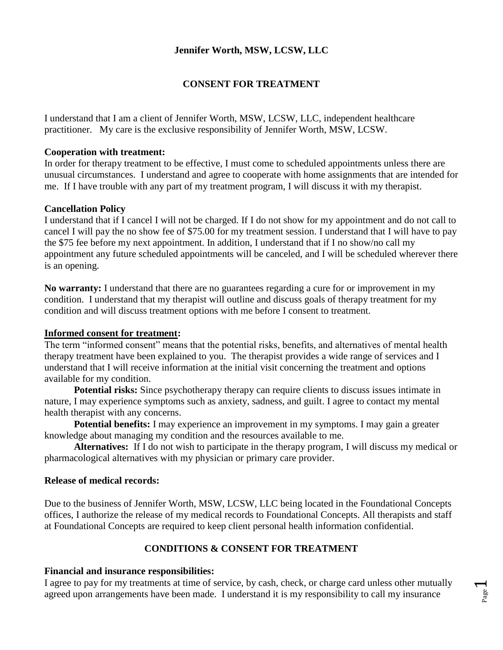# **Jennifer Worth, MSW, LCSW, LLC**

# **CONSENT FOR TREATMENT**

I understand that I am a client of Jennifer Worth, MSW, LCSW, LLC, independent healthcare practitioner. My care is the exclusive responsibility of Jennifer Worth, MSW, LCSW.

#### **Cooperation with treatment:**

In order for therapy treatment to be effective, I must come to scheduled appointments unless there are unusual circumstances. I understand and agree to cooperate with home assignments that are intended for me. If I have trouble with any part of my treatment program, I will discuss it with my therapist.

#### **Cancellation Policy**

I understand that if I cancel I will not be charged. If I do not show for my appointment and do not call to cancel I will pay the no show fee of \$75.00 for my treatment session. I understand that I will have to pay the \$75 fee before my next appointment. In addition, I understand that if I no show/no call my appointment any future scheduled appointments will be canceled, and I will be scheduled wherever there is an opening.

**No warranty:** I understand that there are no guarantees regarding a cure for or improvement in my condition. I understand that my therapist will outline and discuss goals of therapy treatment for my condition and will discuss treatment options with me before I consent to treatment.

#### **Informed consent for treatment:**

The term "informed consent" means that the potential risks, benefits, and alternatives of mental health therapy treatment have been explained to you. The therapist provides a wide range of services and I understand that I will receive information at the initial visit concerning the treatment and options available for my condition.

**Potential risks:** Since psychotherapy therapy can require clients to discuss issues intimate in nature, I may experience symptoms such as anxiety, sadness, and guilt. I agree to contact my mental health therapist with any concerns.

**Potential benefits:** I may experience an improvement in my symptoms. I may gain a greater knowledge about managing my condition and the resources available to me.

**Alternatives:** If I do not wish to participate in the therapy program, I will discuss my medical or pharmacological alternatives with my physician or primary care provider.

## **Release of medical records:**

Due to the business of Jennifer Worth, MSW, LCSW, LLC being located in the Foundational Concepts offices, I authorize the release of my medical records to Foundational Concepts. All therapists and staff at Foundational Concepts are required to keep client personal health information confidential.

# **CONDITIONS & CONSENT FOR TREATMENT**

## **Financial and insurance responsibilities:**

I agree to pay for my treatments at time of service, by cash, check, or charge card unless other mutually agreed upon arrangements have been made. I understand it is my responsibility to call my insurance